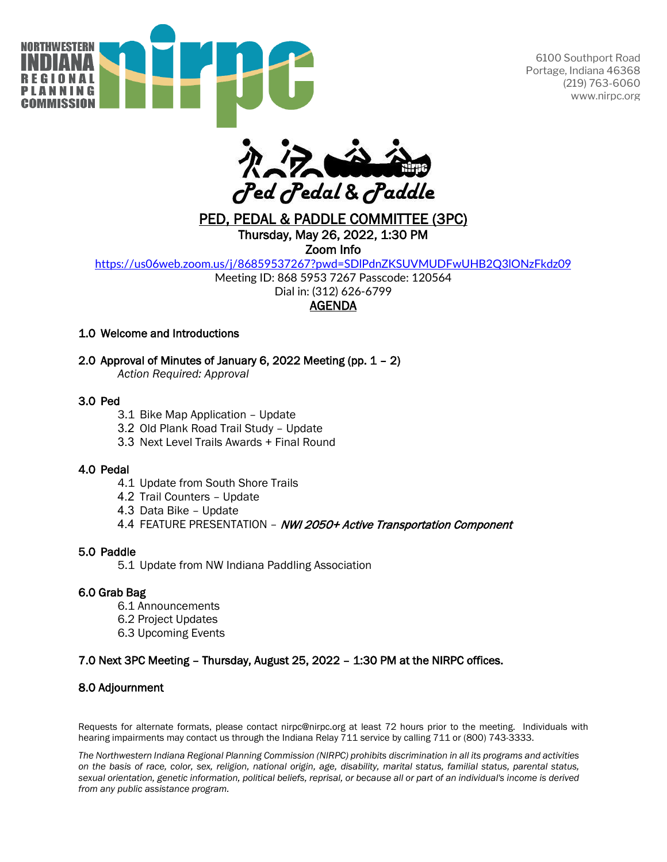

6100 Southport Road Portage, Indiana 46368 (219) 763-6060 www.nirpc.org



# PED, PEDAL & PADDLE COMMITTEE (3PC) Thursday, May 26, 2022, 1:30 PM

Zoom Info

<https://us06web.zoom.us/j/86859537267?pwd=SDlPdnZKSUVMUDFwUHB2Q3lONzFkdz09>

Meeting ID: 868 5953 7267 Passcode: 120564

Dial in: (312) 626-6799

## **AGENDA**

### 1.0 Welcome and Introductions

### 2.0 Approval of Minutes of January 6, 2022 Meeting (pp. 1 – 2)

*Action Required: Approval* 

#### 3.0 Ped

- 3.1 Bike Map Application Update
- 3.2 Old Plank Road Trail Study Update
- 3.3 Next Level Trails Awards + Final Round

#### 4.0 Pedal

- 4.1 Update from South Shore Trails
- 4.2 Trail Counters Update
- 4.3 Data Bike Update
- 4.4 FEATURE PRESENTATION NWI 2050+ Active Transportation Component

#### 5.0 Paddle

5.1 Update from NW Indiana Paddling Association

### 6.0 Grab Bag

- 6.1 Announcements
- 6.2 Project Updates
- 6.3 Upcoming Events

### 7.0 Next 3PC Meeting – Thursday, August 25, 2022 – 1:30 PM at the NIRPC offices.

### 8.0 Adjournment

Requests for alternate formats, please contact nirpc@nirpc.org at least 72 hours prior to the meeting. Individuals with hearing impairments may contact us through the Indiana Relay 711 service by calling 711 or (800) 743-3333.

*The Northwestern Indiana Regional Planning Commission (NIRPC) prohibits discrimination in all its programs and activities on the basis of race, color, sex, religion, national origin, age, disability, marital status, familial status, parental status, sexual orientation, genetic information, political beliefs, reprisal, or because all or part of an individual's income is derived from any public assistance program.*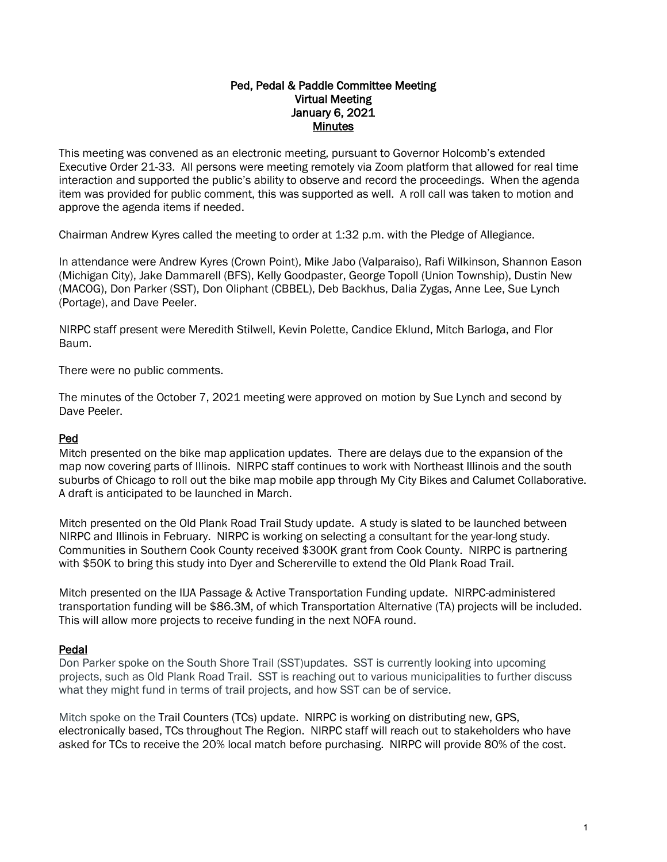## Ped, Pedal & Paddle Committee Meeting Virtual Meeting January 6, 2021 Minutes

This meeting was convened as an electronic meeting, pursuant to Governor Holcomb's extended Executive Order 21-33. All persons were meeting remotely via Zoom platform that allowed for real time interaction and supported the public's ability to observe and record the proceedings. When the agenda item was provided for public comment, this was supported as well. A roll call was taken to motion and approve the agenda items if needed.

Chairman Andrew Kyres called the meeting to order at 1:32 p.m. with the Pledge of Allegiance.

In attendance were Andrew Kyres (Crown Point), Mike Jabo (Valparaiso), Rafi Wilkinson, Shannon Eason (Michigan City), Jake Dammarell (BFS), Kelly Goodpaster, George Topoll (Union Township), Dustin New (MACOG), Don Parker (SST), Don Oliphant (CBBEL), Deb Backhus, Dalia Zygas, Anne Lee, Sue Lynch (Portage), and Dave Peeler.

NIRPC staff present were Meredith Stilwell, Kevin Polette, Candice Eklund, Mitch Barloga, and Flor Baum.

There were no public comments.

The minutes of the October 7, 2021 meeting were approved on motion by Sue Lynch and second by Dave Peeler.

### Ped

Mitch presented on the bike map application updates. There are delays due to the expansion of the map now covering parts of Illinois. NIRPC staff continues to work with Northeast Illinois and the south suburbs of Chicago to roll out the bike map mobile app through My City Bikes and Calumet Collaborative. A draft is anticipated to be launched in March.

Mitch presented on the Old Plank Road Trail Study update. A study is slated to be launched between NIRPC and Illinois in February. NIRPC is working on selecting a consultant for the year-long study. Communities in Southern Cook County received \$300K grant from Cook County. NIRPC is partnering with \$50K to bring this study into Dyer and Schererville to extend the Old Plank Road Trail.

Mitch presented on the IIJA Passage & Active Transportation Funding update. NIRPC-administered transportation funding will be \$86.3M, of which Transportation Alternative (TA) projects will be included. This will allow more projects to receive funding in the next NOFA round.

### Pedal

Don Parker spoke on the South Shore Trail (SST)updates. SST is currently looking into upcoming projects, such as Old Plank Road Trail. SST is reaching out to various municipalities to further discuss what they might fund in terms of trail projects, and how SST can be of service.

Mitch spoke on the Trail Counters (TCs) update. NIRPC is working on distributing new, GPS, electronically based, TCs throughout The Region. NIRPC staff will reach out to stakeholders who have asked for TCs to receive the 20% local match before purchasing. NIRPC will provide 80% of the cost.